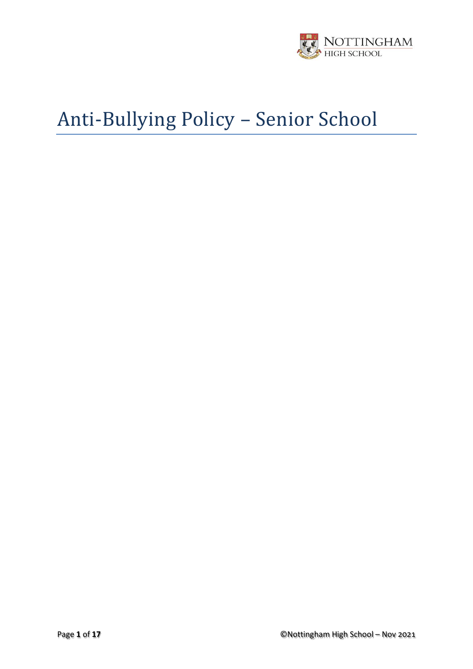

# Anti-Bullying Policy – Senior School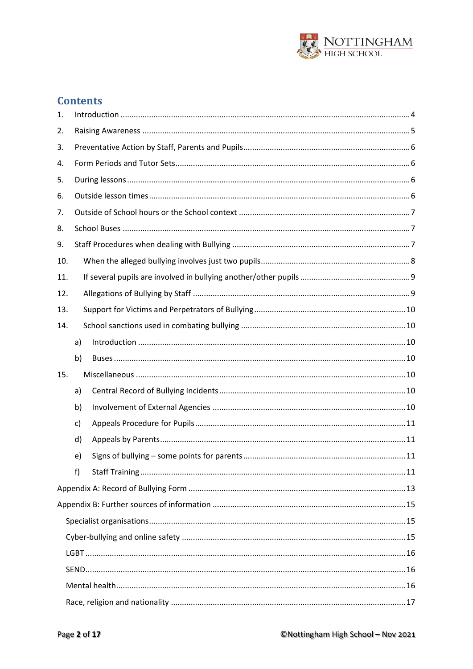

# **Contents**

| 1.  |    |  |  |  |  |  |
|-----|----|--|--|--|--|--|
| 2.  |    |  |  |  |  |  |
| 3.  |    |  |  |  |  |  |
| 4.  |    |  |  |  |  |  |
| 5.  |    |  |  |  |  |  |
| 6.  |    |  |  |  |  |  |
| 7.  |    |  |  |  |  |  |
| 8.  |    |  |  |  |  |  |
| 9.  |    |  |  |  |  |  |
| 10. |    |  |  |  |  |  |
| 11. |    |  |  |  |  |  |
| 12. |    |  |  |  |  |  |
| 13. |    |  |  |  |  |  |
| 14. |    |  |  |  |  |  |
|     | a) |  |  |  |  |  |
|     | b) |  |  |  |  |  |
| 15. |    |  |  |  |  |  |
|     | a) |  |  |  |  |  |
|     | b) |  |  |  |  |  |
|     | c) |  |  |  |  |  |
|     | d) |  |  |  |  |  |
|     | e) |  |  |  |  |  |
|     | f  |  |  |  |  |  |
|     |    |  |  |  |  |  |
|     |    |  |  |  |  |  |
|     |    |  |  |  |  |  |
|     |    |  |  |  |  |  |
|     |    |  |  |  |  |  |
|     |    |  |  |  |  |  |
|     |    |  |  |  |  |  |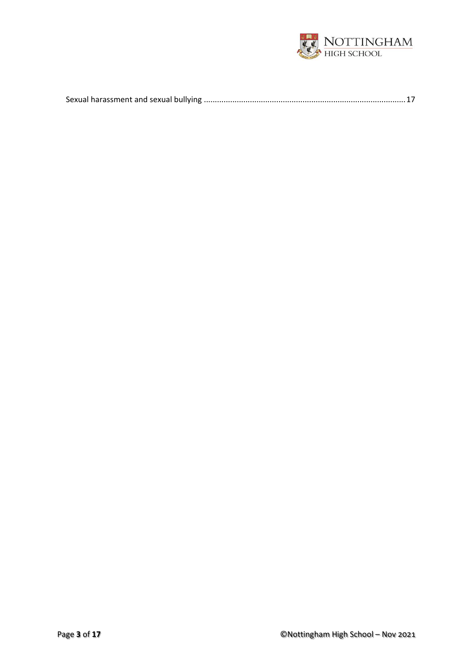

|--|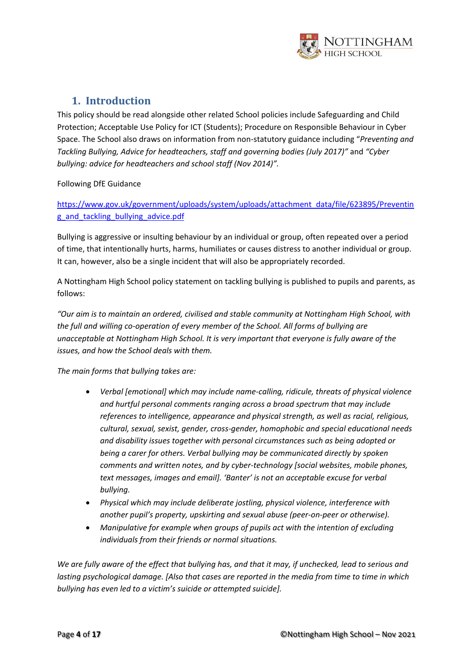

### **1. Introduction**

<span id="page-3-0"></span>This policy should be read alongside other related School policies include Safeguarding and Child Protection; Acceptable Use Policy for ICT (Students); Procedure on Responsible Behaviour in Cyber Space. The School also draws on information from non-statutory guidance including "*Preventing and Tackling Bullying, Advice for headteachers, staff and governing bodies (July 2017)"* and *"Cyber bullying: advice for headteachers and school staff (Nov 2014)".*

Following DfE Guidance

[https://www.gov.uk/government/uploads/system/uploads/attachment\\_data/file/623895/Preventin](https://www.gov.uk/government/uploads/system/uploads/attachment_data/file/623895/Preventing_and_tackling_bullying_advice.pdf) [g\\_and\\_tackling\\_bullying\\_advice.pdf](https://www.gov.uk/government/uploads/system/uploads/attachment_data/file/623895/Preventing_and_tackling_bullying_advice.pdf)

Bullying is aggressive or insulting behaviour by an individual or group, often repeated over a period of time, that intentionally hurts, harms, humiliates or causes distress to another individual or group. It can, however, also be a single incident that will also be appropriately recorded.

A Nottingham High School policy statement on tackling bullying is published to pupils and parents, as follows:

*"Our aim is to maintain an ordered, civilised and stable community at Nottingham High School, with the full and willing co-operation of every member of the School. All forms of bullying are unacceptable at Nottingham High School. It is very important that everyone is fully aware of the issues, and how the School deals with them.* 

*The main forms that bullying takes are:*

- *Verbal [emotional] which may include name-calling, ridicule, threats of physical violence and hurtful personal comments ranging across a broad spectrum that may include references to intelligence, appearance and physical strength, as well as racial, religious, cultural, sexual, sexist, gender, cross-gender, homophobic and special educational needs and disability issues together with personal circumstances such as being adopted or being a carer for others. Verbal bullying may be communicated directly by spoken comments and written notes, and by cyber-technology [social websites, mobile phones, text messages, images and email]. 'Banter' is not an acceptable excuse for verbal bullying.*
- *Physical which may include deliberate jostling, physical violence, interference with another pupil's property, upskirting and sexual abuse (peer-on-peer or otherwise).*
- *Manipulative for example when groups of pupils act with the intention of excluding individuals from their friends or normal situations.*

*We are fully aware of the effect that bullying has, and that it may, if unchecked, lead to serious and lasting psychological damage. [Also that cases are reported in the media from time to time in which bullying has even led to a victim's suicide or attempted suicide].*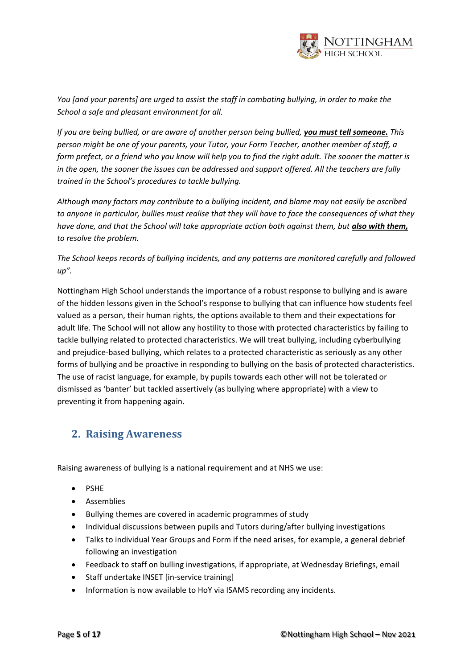

*You [and your parents] are urged to assist the staff in combating bullying, in order to make the School a safe and pleasant environment for all.* 

*If you are being bullied, or are aware of another person being bullied, you must tell someone. This person might be one of your parents, your Tutor, your Form Teacher, another member of staff, a form prefect, or a friend who you know will help you to find the right adult. The sooner the matter is in the open, the sooner the issues can be addressed and support offered. All the teachers are fully trained in the School's procedures to tackle bullying.*

*Although many factors may contribute to a bullying incident, and blame may not easily be ascribed to anyone in particular, bullies must realise that they will have to face the consequences of what they have done, and that the School will take appropriate action both against them, but also with them, to resolve the problem.* 

#### *The School keeps records of bullying incidents, and any patterns are monitored carefully and followed up".*

Nottingham High School understands the importance of a robust response to bullying and is aware of the hidden lessons given in the School's response to bullying that can influence how students feel valued as a person, their human rights, the options available to them and their expectations for adult life. The School will not allow any hostility to those with protected characteristics by failing to tackle bullying related to protected characteristics. We will treat bullying, including cyberbullying and prejudice-based bullying, which relates to a protected characteristic as seriously as any other forms of bullying and be proactive in responding to bullying on the basis of protected characteristics. The use of racist language, for example, by pupils towards each other will not be tolerated or dismissed as 'banter' but tackled assertively (as bullying where appropriate) with a view to preventing it from happening again.

## <span id="page-4-0"></span>**2. Raising Awareness**

Raising awareness of bullying is a national requirement and at NHS we use:

- PSHE
- Assemblies
- Bullying themes are covered in academic programmes of study
- Individual discussions between pupils and Tutors during/after bullying investigations
- Talks to individual Year Groups and Form if the need arises, for example, a general debrief following an investigation
- Feedback to staff on bulling investigations, if appropriate, at Wednesday Briefings, email
- Staff undertake INSET [in-service training]
- Information is now available to HoY via ISAMS recording any incidents.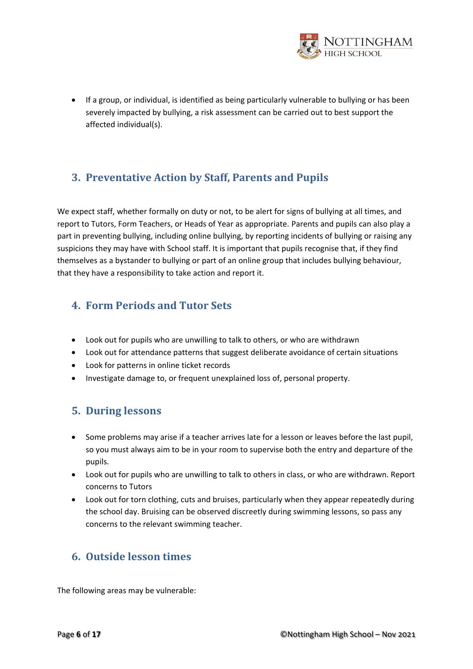

• If a group, or individual, is identified as being particularly vulnerable to bullying or has been severely impacted by bullying, a risk assessment can be carried out to best support the affected individual(s).

## <span id="page-5-0"></span>**3. Preventative Action by Staff, Parents and Pupils**

We expect staff, whether formally on duty or not, to be alert for signs of bullying at all times, and report to Tutors, Form Teachers, or Heads of Year as appropriate. Parents and pupils can also play a part in preventing bullying, including online bullying, by reporting incidents of bullying or raising any suspicions they may have with School staff. It is important that pupils recognise that, if they find themselves as a bystander to bullying or part of an online group that includes bullying behaviour, that they have a responsibility to take action and report it.

## <span id="page-5-1"></span>**4. Form Periods and Tutor Sets**

- Look out for pupils who are unwilling to talk to others, or who are withdrawn
- Look out for attendance patterns that suggest deliberate avoidance of certain situations
- Look for patterns in online ticket records
- Investigate damage to, or frequent unexplained loss of, personal property.

## <span id="page-5-2"></span>**5. During lessons**

- Some problems may arise if a teacher arrives late for a lesson or leaves before the last pupil, so you must always aim to be in your room to supervise both the entry and departure of the pupils.
- Look out for pupils who are unwilling to talk to others in class, or who are withdrawn. Report concerns to Tutors
- Look out for torn clothing, cuts and bruises, particularly when they appear repeatedly during the school day. Bruising can be observed discreetly during swimming lessons, so pass any concerns to the relevant swimming teacher.

## <span id="page-5-3"></span>**6. Outside lesson times**

The following areas may be vulnerable: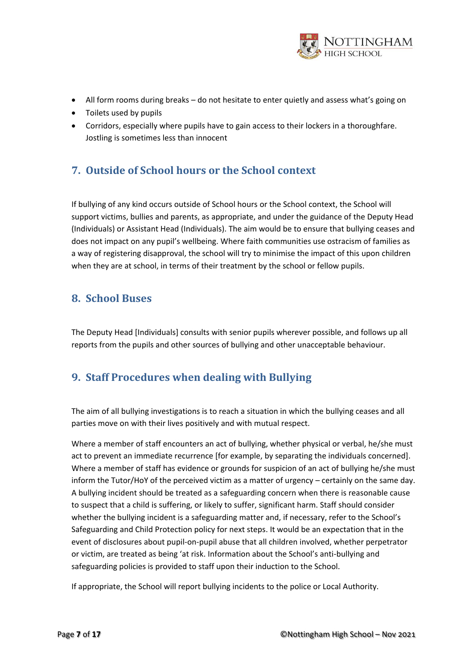

- All form rooms during breaks do not hesitate to enter quietly and assess what's going on
- Toilets used by pupils
- Corridors, especially where pupils have to gain access to their lockers in a thoroughfare. Jostling is sometimes less than innocent

## <span id="page-6-0"></span>**7. Outside of School hours or the School context**

If bullying of any kind occurs outside of School hours or the School context, the School will support victims, bullies and parents, as appropriate, and under the guidance of the Deputy Head (Individuals) or Assistant Head (Individuals). The aim would be to ensure that bullying ceases and does not impact on any pupil's wellbeing. Where faith communities use ostracism of families as a way of registering disapproval, the school will try to minimise the impact of this upon children when they are at school, in terms of their treatment by the school or fellow pupils.

## <span id="page-6-1"></span>**8. School Buses**

The Deputy Head [Individuals] consults with senior pupils wherever possible, and follows up all reports from the pupils and other sources of bullying and other unacceptable behaviour.

## <span id="page-6-2"></span>**9. Staff Procedures when dealing with Bullying**

The aim of all bullying investigations is to reach a situation in which the bullying ceases and all parties move on with their lives positively and with mutual respect.

Where a member of staff encounters an act of bullying, whether physical or verbal, he/she must act to prevent an immediate recurrence [for example, by separating the individuals concerned]. Where a member of staff has evidence or grounds for suspicion of an act of bullying he/she must inform the Tutor/HoY of the perceived victim as a matter of urgency – certainly on the same day. A bullying incident should be treated as a safeguarding concern when there is reasonable cause to suspect that a child is suffering, or likely to suffer, significant harm. Staff should consider whether the bullying incident is a safeguarding matter and, if necessary, refer to the School's Safeguarding and Child Protection policy for next steps. It would be an expectation that in the event of disclosures about pupil-on-pupil abuse that all children involved, whether perpetrator or victim, are treated as being 'at risk. Information about the School's anti-bullying and safeguarding policies is provided to staff upon their induction to the School.

If appropriate, the School will report bullying incidents to the police or Local Authority.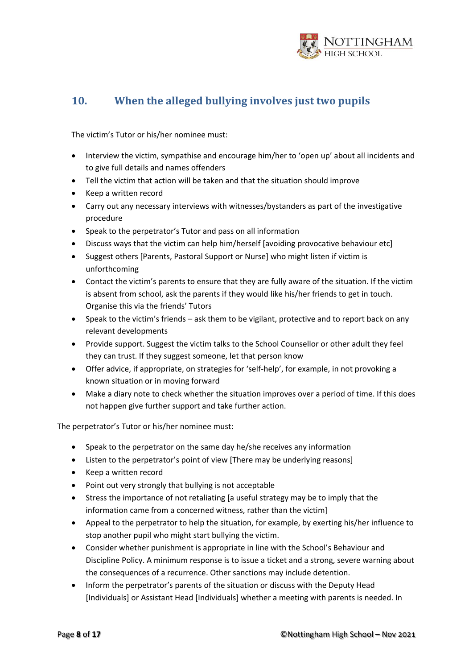

# <span id="page-7-0"></span>**10. When the alleged bullying involves just two pupils**

The victim's Tutor or his/her nominee must:

- Interview the victim, sympathise and encourage him/her to 'open up' about all incidents and to give full details and names offenders
- Tell the victim that action will be taken and that the situation should improve
- Keep a written record
- Carry out any necessary interviews with witnesses/bystanders as part of the investigative procedure
- Speak to the perpetrator's Tutor and pass on all information
- Discuss ways that the victim can help him/herself [avoiding provocative behaviour etc]
- Suggest others [Parents, Pastoral Support or Nurse] who might listen if victim is unforthcoming
- Contact the victim's parents to ensure that they are fully aware of the situation. If the victim is absent from school, ask the parents if they would like his/her friends to get in touch. Organise this via the friends' Tutors
- Speak to the victim's friends ask them to be vigilant, protective and to report back on any relevant developments
- Provide support. Suggest the victim talks to the School Counsellor or other adult they feel they can trust. If they suggest someone, let that person know
- Offer advice, if appropriate, on strategies for 'self-help', for example, in not provoking a known situation or in moving forward
- Make a diary note to check whether the situation improves over a period of time. If this does not happen give further support and take further action.

The perpetrator's Tutor or his/her nominee must:

- Speak to the perpetrator on the same day he/she receives any information
- Listen to the perpetrator's point of view [There may be underlying reasons]
- Keep a written record
- Point out very strongly that bullying is not acceptable
- Stress the importance of not retaliating [a useful strategy may be to imply that the information came from a concerned witness, rather than the victim]
- Appeal to the perpetrator to help the situation, for example, by exerting his/her influence to stop another pupil who might start bullying the victim.
- Consider whether punishment is appropriate in line with the School's Behaviour and Discipline Policy. A minimum response is to issue a ticket and a strong, severe warning about the consequences of a recurrence. Other sanctions may include detention.
- Inform the perpetrator's parents of the situation or discuss with the Deputy Head [Individuals] or Assistant Head [Individuals] whether a meeting with parents is needed. In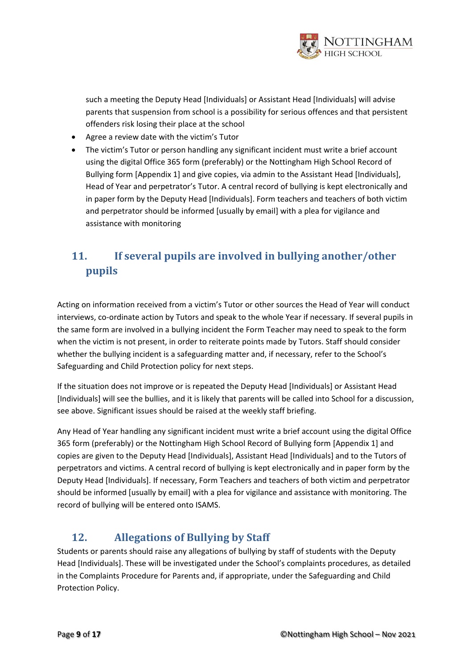

such a meeting the Deputy Head [Individuals] or Assistant Head [Individuals] will advise parents that suspension from school is a possibility for serious offences and that persistent offenders risk losing their place at the school

- Agree a review date with the victim's Tutor
- The victim's Tutor or person handling any significant incident must write a brief account using the digital Office 365 form (preferably) or the Nottingham High School Record of Bullying form [Appendix 1] and give copies, via admin to the Assistant Head [Individuals], Head of Year and perpetrator's Tutor. A central record of bullying is kept electronically and in paper form by the Deputy Head [Individuals]. Form teachers and teachers of both victim and perpetrator should be informed [usually by email] with a plea for vigilance and assistance with monitoring

# <span id="page-8-0"></span>**11. If several pupils are involved in bullying another/other pupils**

Acting on information received from a victim's Tutor or other sources the Head of Year will conduct interviews, co-ordinate action by Tutors and speak to the whole Year if necessary. If several pupils in the same form are involved in a bullying incident the Form Teacher may need to speak to the form when the victim is not present, in order to reiterate points made by Tutors. Staff should consider whether the bullying incident is a safeguarding matter and, if necessary, refer to the School's Safeguarding and Child Protection policy for next steps.

If the situation does not improve or is repeated the Deputy Head [Individuals] or Assistant Head [Individuals] will see the bullies, and it is likely that parents will be called into School for a discussion, see above. Significant issues should be raised at the weekly staff briefing.

Any Head of Year handling any significant incident must write a brief account using the digital Office 365 form (preferably) or the Nottingham High School Record of Bullying form [Appendix 1] and copies are given to the Deputy Head [Individuals], Assistant Head [Individuals] and to the Tutors of perpetrators and victims. A central record of bullying is kept electronically and in paper form by the Deputy Head [Individuals]. If necessary, Form Teachers and teachers of both victim and perpetrator should be informed [usually by email] with a plea for vigilance and assistance with monitoring. The record of bullying will be entered onto ISAMS.

# <span id="page-8-1"></span>**12. Allegations of Bullying by Staff**

Students or parents should raise any allegations of bullying by staff of students with the Deputy Head [Individuals]. These will be investigated under the School's complaints procedures, as detailed in the Complaints Procedure for Parents and, if appropriate, under the Safeguarding and Child Protection Policy.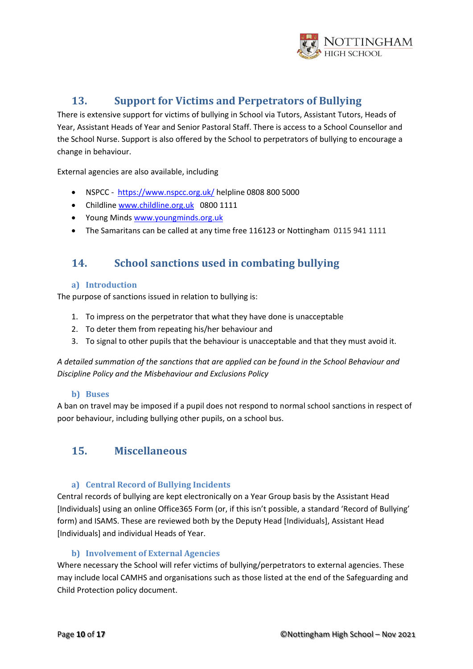

## **13. Support for Victims and Perpetrators of Bullying**

<span id="page-9-0"></span>There is extensive support for victims of bullying in School via Tutors, Assistant Tutors, Heads of Year, Assistant Heads of Year and Senior Pastoral Staff. There is access to a School Counsellor and the School Nurse. Support is also offered by the School to perpetrators of bullying to encourage a change in behaviour.

External agencies are also available, including

- NSPCC <https://www.nspcc.org.uk/> helpline 0808 800 5000
- Childline [www.childline.org.uk](http://www.childline.org.uk/) 0800 1111
- Young Mind[s www.youngminds.org.uk](http://www.youngminds.org.uk/)
- The Samaritans can be called at any time free 116123 or Nottingham 0115 941 1111

## <span id="page-9-1"></span>**14. School sanctions used in combating bullying**

#### <span id="page-9-2"></span>**a) Introduction**

The purpose of sanctions issued in relation to bullying is:

- 1. To impress on the perpetrator that what they have done is unacceptable
- 2. To deter them from repeating his/her behaviour and
- 3. To signal to other pupils that the behaviour is unacceptable and that they must avoid it.

*A detailed summation of the sanctions that are applied can be found in the School Behaviour and Discipline Policy and the Misbehaviour and Exclusions Policy*

#### **b) Buses**

<span id="page-9-3"></span>A ban on travel may be imposed if a pupil does not respond to normal school sanctions in respect of poor behaviour, including bullying other pupils, on a school bus.

## <span id="page-9-4"></span>**15. Miscellaneous**

#### **a) Central Record of Bullying Incidents**

<span id="page-9-5"></span>Central records of bullying are kept electronically on a Year Group basis by the Assistant Head [Individuals] using an online Office365 Form (or, if this isn't possible, a standard 'Record of Bullying' form) and ISAMS. These are reviewed both by the Deputy Head [Individuals], Assistant Head [Individuals] and individual Heads of Year.

#### **b) Involvement of External Agencies**

<span id="page-9-6"></span>Where necessary the School will refer victims of bullying/perpetrators to external agencies. These may include local CAMHS and organisations such as those listed at the end of the Safeguarding and Child Protection policy document.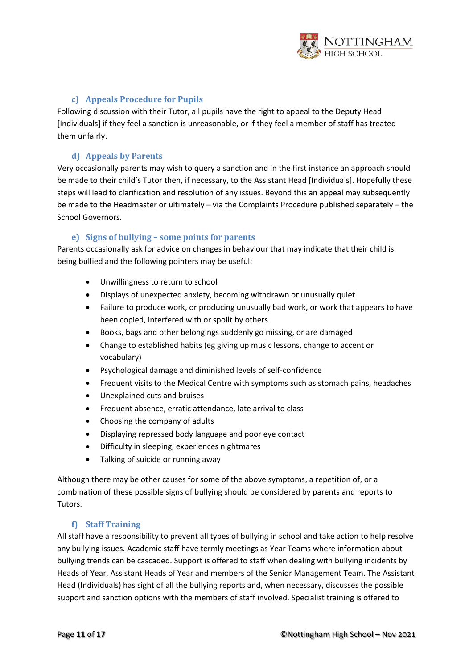

#### **c) Appeals Procedure for Pupils**

<span id="page-10-0"></span>Following discussion with their Tutor, all pupils have the right to appeal to the Deputy Head [Individuals] if they feel a sanction is unreasonable, or if they feel a member of staff has treated them unfairly.

#### **d) Appeals by Parents**

<span id="page-10-1"></span>Very occasionally parents may wish to query a sanction and in the first instance an approach should be made to their child's Tutor then, if necessary, to the Assistant Head [Individuals]. Hopefully these steps will lead to clarification and resolution of any issues. Beyond this an appeal may subsequently be made to the Headmaster or ultimately – via the Complaints Procedure published separately – the School Governors.

#### **e) Signs of bullying – some points for parents**

<span id="page-10-2"></span>Parents occasionally ask for advice on changes in behaviour that may indicate that their child is being bullied and the following pointers may be useful:

- Unwillingness to return to school
- Displays of unexpected anxiety, becoming withdrawn or unusually quiet
- Failure to produce work, or producing unusually bad work, or work that appears to have been copied, interfered with or spoilt by others
- Books, bags and other belongings suddenly go missing, or are damaged
- Change to established habits (eg giving up music lessons, change to accent or vocabulary)
- Psychological damage and diminished levels of self-confidence
- Frequent visits to the Medical Centre with symptoms such as stomach pains, headaches
- Unexplained cuts and bruises
- Frequent absence, erratic attendance, late arrival to class
- Choosing the company of adults
- Displaying repressed body language and poor eye contact
- Difficulty in sleeping, experiences nightmares
- Talking of suicide or running away

Although there may be other causes for some of the above symptoms, a repetition of, or a combination of these possible signs of bullying should be considered by parents and reports to Tutors.

#### **f) Staff Training**

<span id="page-10-3"></span>All staff have a responsibility to prevent all types of bullying in school and take action to help resolve any bullying issues. Academic staff have termly meetings as Year Teams where information about bullying trends can be cascaded. Support is offered to staff when dealing with bullying incidents by Heads of Year, Assistant Heads of Year and members of the Senior Management Team. The Assistant Head (Individuals) has sight of all the bullying reports and, when necessary, discusses the possible support and sanction options with the members of staff involved. Specialist training is offered to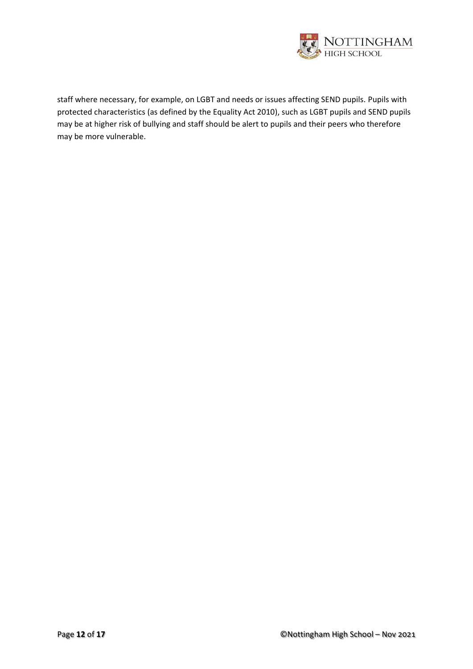

staff where necessary, for example, on LGBT and needs or issues affecting SEND pupils. Pupils with protected characteristics (as defined by the Equality Act 2010), such as LGBT pupils and SEND pupils may be at higher risk of bullying and staff should be alert to pupils and their peers who therefore may be more vulnerable.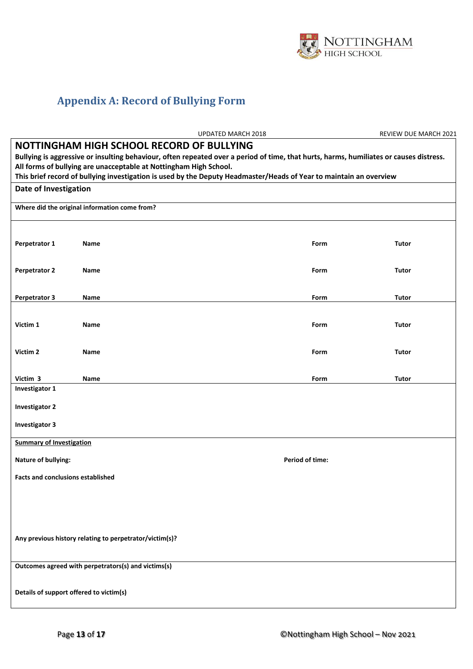

# <span id="page-12-0"></span>**Appendix A: Record of Bullying Form**

|                                                                                                                                                                                                                                                          |      | UPDATED MARCH 2018 |      | REVIEW DUE MARCH 2021 |  |  |  |  |  |
|----------------------------------------------------------------------------------------------------------------------------------------------------------------------------------------------------------------------------------------------------------|------|--------------------|------|-----------------------|--|--|--|--|--|
| NOTTINGHAM HIGH SCHOOL RECORD OF BULLYING<br>Bullying is aggressive or insulting behaviour, often repeated over a period of time, that hurts, harms, humiliates or causes distress.<br>All forms of bullying are unacceptable at Nottingham High School. |      |                    |      |                       |  |  |  |  |  |
| This brief record of bullying investigation is used by the Deputy Headmaster/Heads of Year to maintain an overview                                                                                                                                       |      |                    |      |                       |  |  |  |  |  |
| Date of Investigation                                                                                                                                                                                                                                    |      |                    |      |                       |  |  |  |  |  |
| Where did the original information come from?                                                                                                                                                                                                            |      |                    |      |                       |  |  |  |  |  |
| Perpetrator 1                                                                                                                                                                                                                                            | Name |                    | Form | <b>Tutor</b>          |  |  |  |  |  |
| <b>Perpetrator 2</b>                                                                                                                                                                                                                                     | Name |                    | Form | <b>Tutor</b>          |  |  |  |  |  |
| <b>Perpetrator 3</b>                                                                                                                                                                                                                                     | Name |                    | Form | Tutor                 |  |  |  |  |  |
| Victim 1                                                                                                                                                                                                                                                 | Name |                    | Form | <b>Tutor</b>          |  |  |  |  |  |
| Victim 2                                                                                                                                                                                                                                                 | Name |                    | Form | Tutor                 |  |  |  |  |  |
| Victim 3                                                                                                                                                                                                                                                 | Name |                    | Form | Tutor                 |  |  |  |  |  |
| Investigator 1                                                                                                                                                                                                                                           |      |                    |      |                       |  |  |  |  |  |
| <b>Investigator 2</b>                                                                                                                                                                                                                                    |      |                    |      |                       |  |  |  |  |  |
| <b>Investigator 3</b>                                                                                                                                                                                                                                    |      |                    |      |                       |  |  |  |  |  |
| <b>Summary of Investigation</b>                                                                                                                                                                                                                          |      |                    |      |                       |  |  |  |  |  |
| <b>Nature of bullying:</b>                                                                                                                                                                                                                               |      |                    |      |                       |  |  |  |  |  |
| <b>Facts and conclusions established</b>                                                                                                                                                                                                                 |      |                    |      |                       |  |  |  |  |  |
|                                                                                                                                                                                                                                                          |      |                    |      |                       |  |  |  |  |  |
|                                                                                                                                                                                                                                                          |      |                    |      |                       |  |  |  |  |  |
| Any previous history relating to perpetrator/victim(s)?                                                                                                                                                                                                  |      |                    |      |                       |  |  |  |  |  |
| Outcomes agreed with perpetrators(s) and victims(s)                                                                                                                                                                                                      |      |                    |      |                       |  |  |  |  |  |
| Details of support offered to victim(s)                                                                                                                                                                                                                  |      |                    |      |                       |  |  |  |  |  |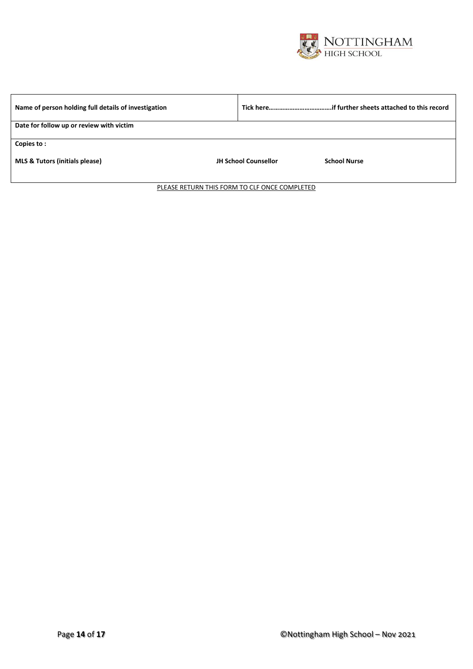

| Name of person holding full details of investigation |                                                    |  |  |  |  |  |  |
|------------------------------------------------------|----------------------------------------------------|--|--|--|--|--|--|
| Date for follow up or review with victim             |                                                    |  |  |  |  |  |  |
| Copies to:                                           |                                                    |  |  |  |  |  |  |
| <b>MLS &amp; Tutors (initials please)</b>            | <b>JH School Counsellor</b><br><b>School Nurse</b> |  |  |  |  |  |  |

PLEASE RETURN THIS FORM TO CLF ONCE COMPLETED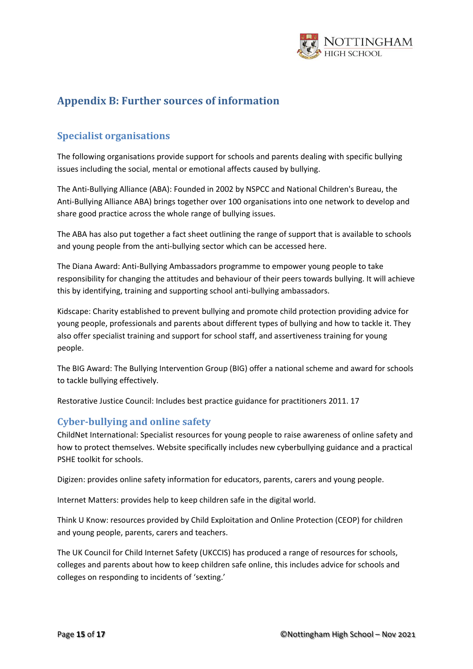

## <span id="page-14-0"></span>**Appendix B: Further sources of information**

#### <span id="page-14-1"></span>**Specialist organisations**

The following organisations provide support for schools and parents dealing with specific bullying issues including the social, mental or emotional affects caused by bullying.

The Anti-Bullying Alliance (ABA): Founded in 2002 by NSPCC and National Children's Bureau, the Anti-Bullying Alliance ABA) brings together over 100 organisations into one network to develop and share good practice across the whole range of bullying issues.

The ABA has also put together a fact sheet outlining the range of support that is available to schools and young people from the anti-bullying sector which can be accessed here.

The Diana Award: Anti-Bullying Ambassadors programme to empower young people to take responsibility for changing the attitudes and behaviour of their peers towards bullying. It will achieve this by identifying, training and supporting school anti-bullying ambassadors.

Kidscape: Charity established to prevent bullying and promote child protection providing advice for young people, professionals and parents about different types of bullying and how to tackle it. They also offer specialist training and support for school staff, and assertiveness training for young people.

The BIG Award: The Bullying Intervention Group (BIG) offer a national scheme and award for schools to tackle bullying effectively.

Restorative Justice Council: Includes best practice guidance for practitioners 2011. 17

#### <span id="page-14-2"></span>**Cyber-bullying and online safety**

ChildNet International: Specialist resources for young people to raise awareness of online safety and how to protect themselves. Website specifically includes new cyberbullying guidance and a practical PSHE toolkit for schools.

Digizen: provides online safety information for educators, parents, carers and young people.

Internet Matters: provides help to keep children safe in the digital world.

Think U Know: resources provided by Child Exploitation and Online Protection (CEOP) for children and young people, parents, carers and teachers.

The UK Council for Child Internet Safety (UKCCIS) has produced a range of resources for schools, colleges and parents about how to keep children safe online, this includes advice for schools and colleges on responding to incidents of 'sexting.'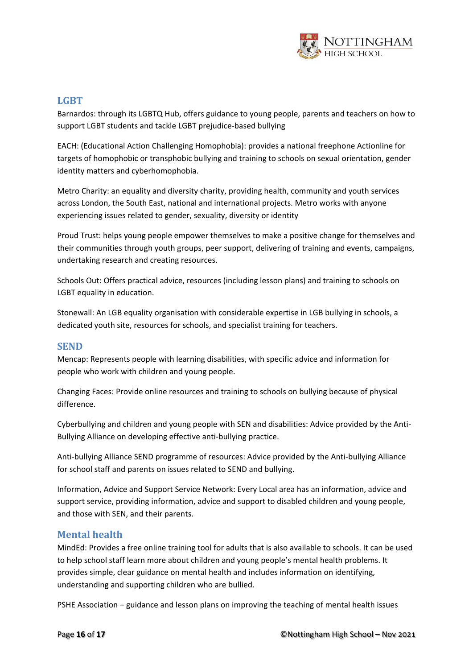

#### <span id="page-15-0"></span>**LGBT**

Barnardos: through its LGBTQ Hub, offers guidance to young people, parents and teachers on how to support LGBT students and tackle LGBT prejudice-based bullying

EACH: (Educational Action Challenging Homophobia): provides a national freephone Actionline for targets of homophobic or transphobic bullying and training to schools on sexual orientation, gender identity matters and cyberhomophobia.

Metro Charity: an equality and diversity charity, providing health, community and youth services across London, the South East, national and international projects. Metro works with anyone experiencing issues related to gender, sexuality, diversity or identity

Proud Trust: helps young people empower themselves to make a positive change for themselves and their communities through youth groups, peer support, delivering of training and events, campaigns, undertaking research and creating resources.

Schools Out: Offers practical advice, resources (including lesson plans) and training to schools on LGBT equality in education.

Stonewall: An LGB equality organisation with considerable expertise in LGB bullying in schools, a dedicated youth site, resources for schools, and specialist training for teachers.

#### <span id="page-15-1"></span>**SEND**

Mencap: Represents people with learning disabilities, with specific advice and information for people who work with children and young people.

Changing Faces: Provide online resources and training to schools on bullying because of physical difference.

Cyberbullying and children and young people with SEN and disabilities: Advice provided by the Anti-Bullying Alliance on developing effective anti-bullying practice.

Anti-bullying Alliance SEND programme of resources: Advice provided by the Anti-bullying Alliance for school staff and parents on issues related to SEND and bullying.

Information, Advice and Support Service Network: Every Local area has an information, advice and support service, providing information, advice and support to disabled children and young people, and those with SEN, and their parents.

#### <span id="page-15-2"></span>**Mental health**

MindEd: Provides a free online training tool for adults that is also available to schools. It can be used to help school staff learn more about children and young people's mental health problems. It provides simple, clear guidance on mental health and includes information on identifying, understanding and supporting children who are bullied.

PSHE Association – guidance and lesson plans on improving the teaching of mental health issues